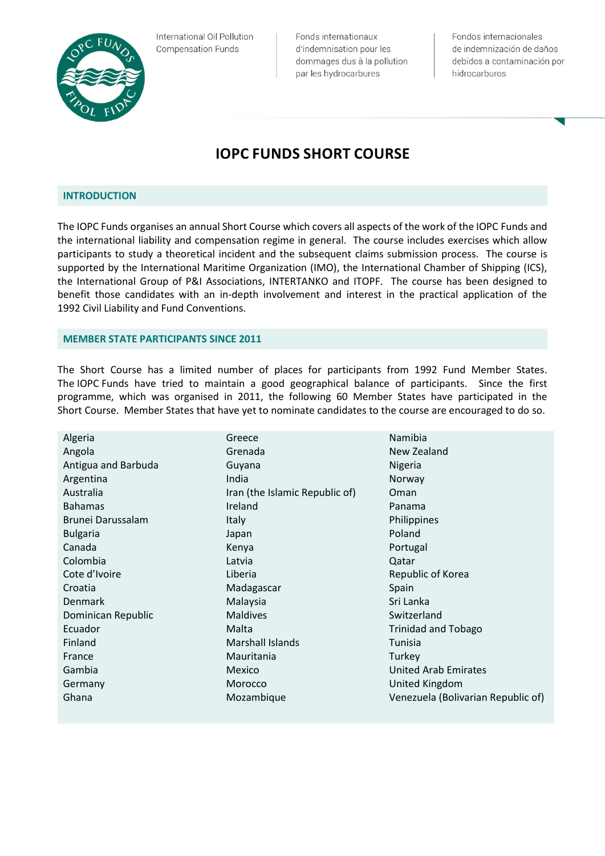

International Oil Pollution **Compensation Funds** 

Fonds internationaux d'indemnisation pour les dommages dus à la pollution par les hydrocarbures

Fondos internacionales de indemnización de daños debidos a contaminación por hidrocarburos

## **IOPC FUNDS SHORT COURSE**

## **INTRODUCTION**

The IOPC Funds organises an annual Short Course which covers all aspects of the work of the IOPC Funds and the international liability and compensation regime in general. The course includes exercises which allow participants to study a theoretical incident and the subsequent claims submission process. The course is supported by the International Maritime Organization (IMO), the International Chamber of Shipping (ICS), the International Group of P&I Associations, INTERTANKO and ITOPF. The course has been designed to benefit those candidates with an in-depth involvement and interest in the practical application of the 1992 Civil Liability and Fund Conventions.

## **MEMBER STATE PARTICIPANTS SINCE 2011**

The Short Course has a limited number of places for participants from 1992 Fund Member States. The IOPC Funds have tried to maintain a good geographical balance of participants. Since the first programme, which was organised in 2011, the following 60 Member States have participated in the Short Course. Member States that have yet to nominate candidates to the course are encouraged to do so.

| Algeria             | Greece                         | Namibia                            |
|---------------------|--------------------------------|------------------------------------|
| Angola              | Grenada                        | New Zealand                        |
| Antigua and Barbuda | Guyana                         | Nigeria                            |
| Argentina           | India                          | Norway                             |
| Australia           | Iran (the Islamic Republic of) | Oman                               |
| <b>Bahamas</b>      | Ireland                        | Panama                             |
| Brunei Darussalam   | Italy                          | Philippines                        |
| <b>Bulgaria</b>     | Japan                          | Poland                             |
| Canada              | Kenya                          | Portugal                           |
| Colombia            | Latvia                         | Qatar                              |
| Cote d'Ivoire       | Liberia                        | Republic of Korea                  |
| Croatia             | Madagascar                     | Spain                              |
| <b>Denmark</b>      | Malaysia                       | Sri Lanka                          |
| Dominican Republic  | <b>Maldives</b>                | Switzerland                        |
| Ecuador             | Malta                          | <b>Trinidad and Tobago</b>         |
| Finland             | Marshall Islands               | Tunisia                            |
| France              | Mauritania                     | Turkey                             |
| Gambia              | Mexico                         | United Arab Emirates               |
| Germany             | Morocco                        | United Kingdom                     |
| Ghana               | Mozambique                     | Venezuela (Bolivarian Republic of) |